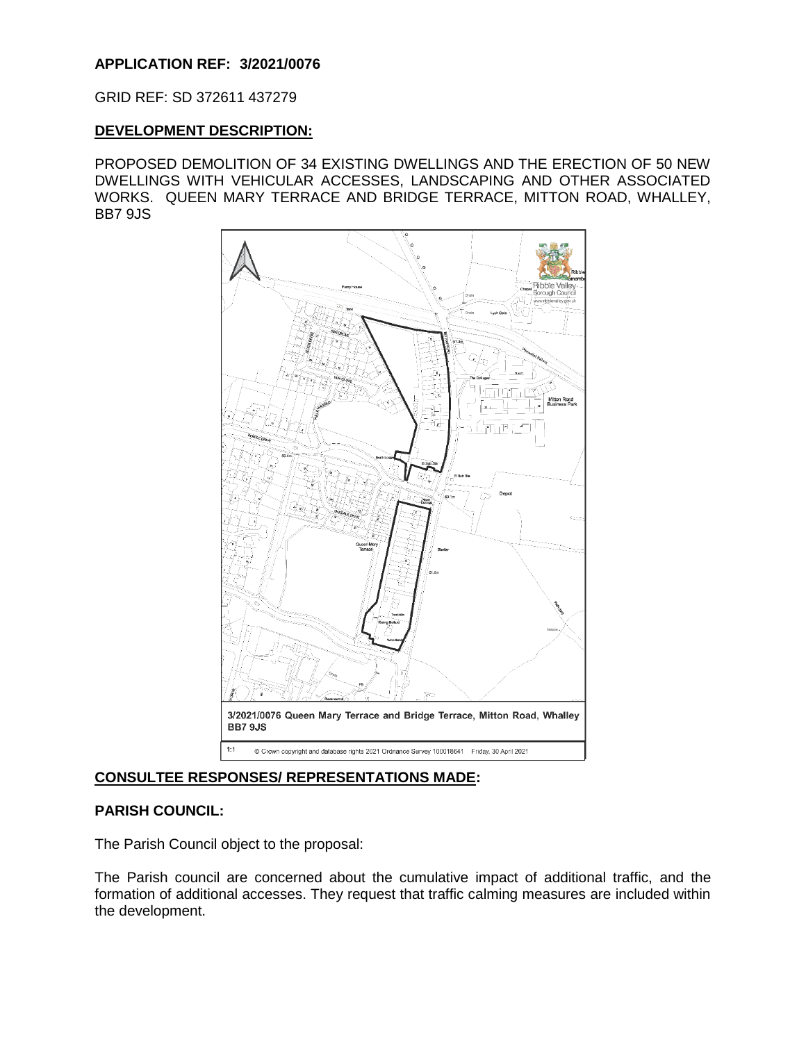## **APPLICATION REF: 3/2021/0076**

GRID REF: SD 372611 437279

#### **DEVELOPMENT DESCRIPTION:**

PROPOSED DEMOLITION OF 34 EXISTING DWELLINGS AND THE ERECTION OF 50 NEW DWELLINGS WITH VEHICULAR ACCESSES, LANDSCAPING AND OTHER ASSOCIATED WORKS. QUEEN MARY TERRACE AND BRIDGE TERRACE, MITTON ROAD, WHALLEY, BB7 9JS



# **CONSULTEE RESPONSES/ REPRESENTATIONS MADE:**

## **PARISH COUNCIL:**

The Parish Council object to the proposal:

The Parish council are concerned about the cumulative impact of additional traffic, and the formation of additional accesses. They request that traffic calming measures are included within the development.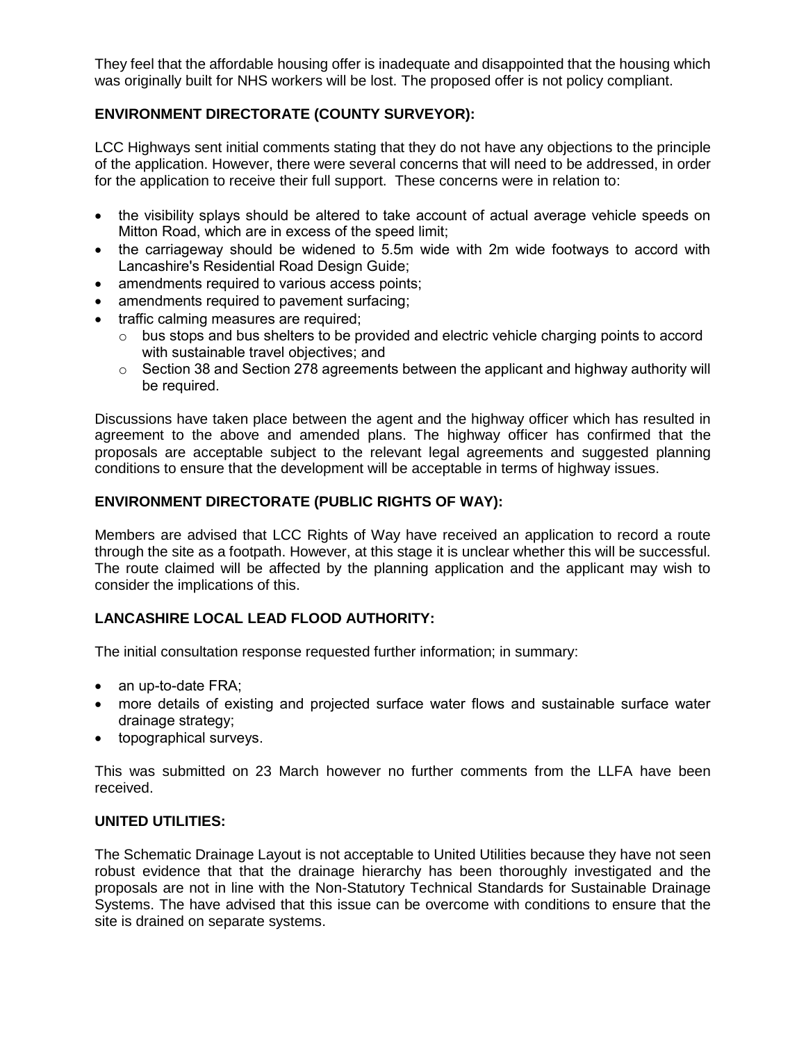They feel that the affordable housing offer is inadequate and disappointed that the housing which was originally built for NHS workers will be lost. The proposed offer is not policy compliant.

# **ENVIRONMENT DIRECTORATE (COUNTY SURVEYOR):**

LCC Highways sent initial comments stating that they do not have any objections to the principle of the application. However, there were several concerns that will need to be addressed, in order for the application to receive their full support. These concerns were in relation to:

- the visibility splays should be altered to take account of actual average vehicle speeds on Mitton Road, which are in excess of the speed limit;
- the carriageway should be widened to 5.5m wide with 2m wide footways to accord with Lancashire's Residential Road Design Guide;
- amendments required to various access points;
- amendments required to pavement surfacing;
- traffic calming measures are required;
	- $\circ$  bus stops and bus shelters to be provided and electric vehicle charging points to accord with sustainable travel objectives; and
	- o Section 38 and Section 278 agreements between the applicant and highway authority will be required.

Discussions have taken place between the agent and the highway officer which has resulted in agreement to the above and amended plans. The highway officer has confirmed that the proposals are acceptable subject to the relevant legal agreements and suggested planning conditions to ensure that the development will be acceptable in terms of highway issues.

# **ENVIRONMENT DIRECTORATE (PUBLIC RIGHTS OF WAY):**

Members are advised that LCC Rights of Way have received an application to record a route through the site as a footpath. However, at this stage it is unclear whether this will be successful. The route claimed will be affected by the planning application and the applicant may wish to consider the implications of this.

# **LANCASHIRE LOCAL LEAD FLOOD AUTHORITY:**

The initial consultation response requested further information; in summary:

- an up-to-date FRA;
- more details of existing and projected surface water flows and sustainable surface water drainage strategy;
- topographical surveys.

This was submitted on 23 March however no further comments from the LLFA have been received.

## **UNITED UTILITIES:**

The Schematic Drainage Layout is not acceptable to United Utilities because they have not seen robust evidence that that the drainage hierarchy has been thoroughly investigated and the proposals are not in line with the Non-Statutory Technical Standards for Sustainable Drainage Systems. The have advised that this issue can be overcome with conditions to ensure that the site is drained on separate systems.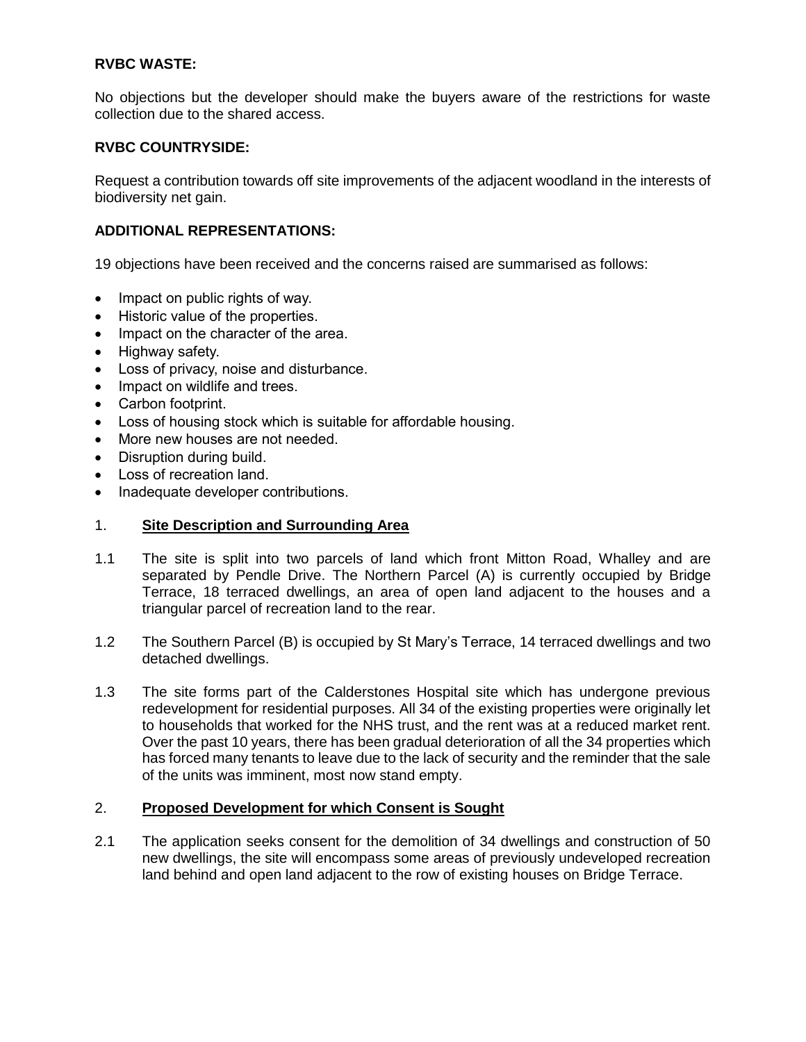## **RVBC WASTE:**

No objections but the developer should make the buyers aware of the restrictions for waste collection due to the shared access.

## **RVBC COUNTRYSIDE:**

Request a contribution towards off site improvements of the adjacent woodland in the interests of biodiversity net gain.

# **ADDITIONAL REPRESENTATIONS:**

19 objections have been received and the concerns raised are summarised as follows:

- Impact on public rights of way.
- Historic value of the properties.
- Impact on the character of the area.
- Highway safety.
- Loss of privacy, noise and disturbance.
- Impact on wildlife and trees.
- Carbon footprint.
- Loss of housing stock which is suitable for affordable housing.
- More new houses are not needed.
- Disruption during build.
- Loss of recreation land.
- Inadequate developer contributions.

## 1. **Site Description and Surrounding Area**

- 1.1 The site is split into two parcels of land which front Mitton Road, Whalley and are separated by Pendle Drive. The Northern Parcel (A) is currently occupied by Bridge Terrace, 18 terraced dwellings, an area of open land adjacent to the houses and a triangular parcel of recreation land to the rear.
- 1.2 The Southern Parcel (B) is occupied by St Mary's Terrace, 14 terraced dwellings and two detached dwellings.
- 1.3 The site forms part of the Calderstones Hospital site which has undergone previous redevelopment for residential purposes. All 34 of the existing properties were originally let to households that worked for the NHS trust, and the rent was at a reduced market rent. Over the past 10 years, there has been gradual deterioration of all the 34 properties which has forced many tenants to leave due to the lack of security and the reminder that the sale of the units was imminent, most now stand empty.

## 2. **Proposed Development for which Consent is Sought**

2.1 The application seeks consent for the demolition of 34 dwellings and construction of 50 new dwellings, the site will encompass some areas of previously undeveloped recreation land behind and open land adjacent to the row of existing houses on Bridge Terrace.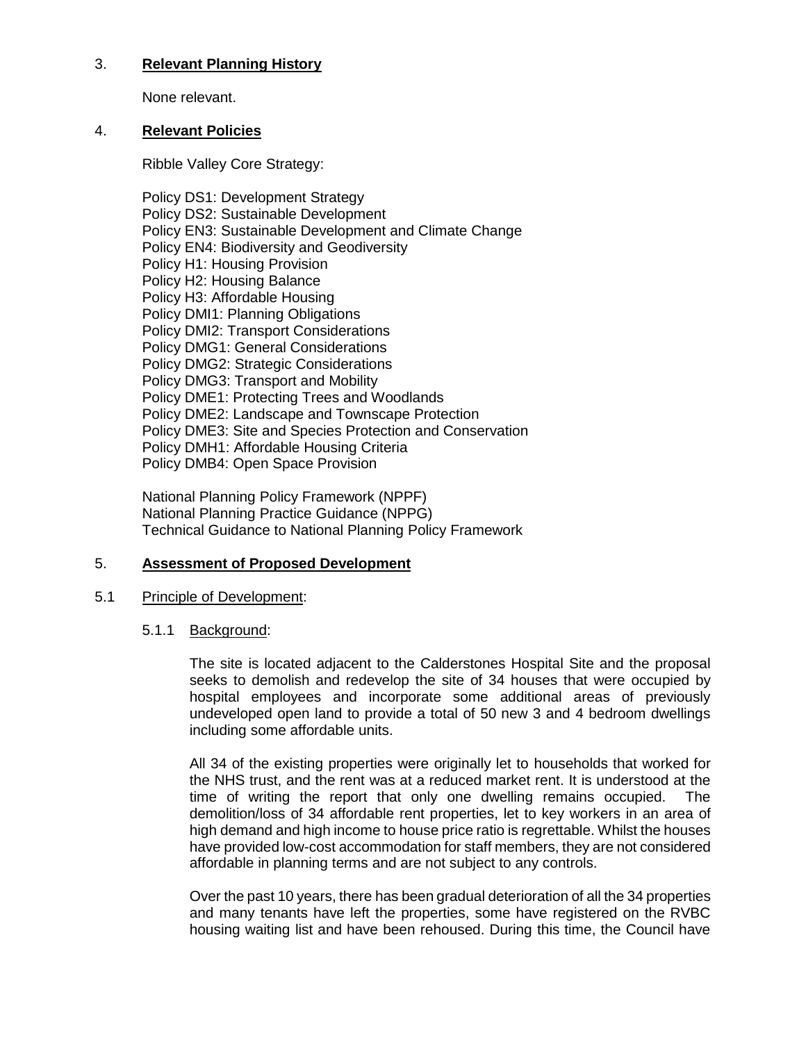# 3. **Relevant Planning History**

None relevant.

## 4. **Relevant Policies**

Ribble Valley Core Strategy:

Policy DS1: Development Strategy Policy DS2: Sustainable Development Policy EN3: Sustainable Development and Climate Change Policy EN4: Biodiversity and Geodiversity Policy H1: Housing Provision Policy H2: Housing Balance Policy H3: Affordable Housing Policy DMI1: Planning Obligations Policy DMI2: Transport Considerations Policy DMG1: General Considerations Policy DMG2: Strategic Considerations Policy DMG3: Transport and Mobility Policy DME1: Protecting Trees and Woodlands Policy DME2: Landscape and Townscape Protection Policy DME3: Site and Species Protection and Conservation Policy DMH1: Affordable Housing Criteria Policy DMB4: Open Space Provision

National Planning Policy Framework (NPPF) National Planning Practice Guidance (NPPG) Technical Guidance to National Planning Policy Framework

# 5. **Assessment of Proposed Development**

# 5.1 Principle of Development:

## 5.1.1 Background:

The site is located adjacent to the Calderstones Hospital Site and the proposal seeks to demolish and redevelop the site of 34 houses that were occupied by hospital employees and incorporate some additional areas of previously undeveloped open land to provide a total of 50 new 3 and 4 bedroom dwellings including some affordable units.

All 34 of the existing properties were originally let to households that worked for the NHS trust, and the rent was at a reduced market rent. It is understood at the time of writing the report that only one dwelling remains occupied. The demolition/loss of 34 affordable rent properties, let to key workers in an area of high demand and high income to house price ratio is regrettable. Whilst the houses have provided low-cost accommodation for staff members, they are not considered affordable in planning terms and are not subject to any controls.

Over the past 10 years, there has been gradual deterioration of all the 34 properties and many tenants have left the properties, some have registered on the RVBC housing waiting list and have been rehoused. During this time, the Council have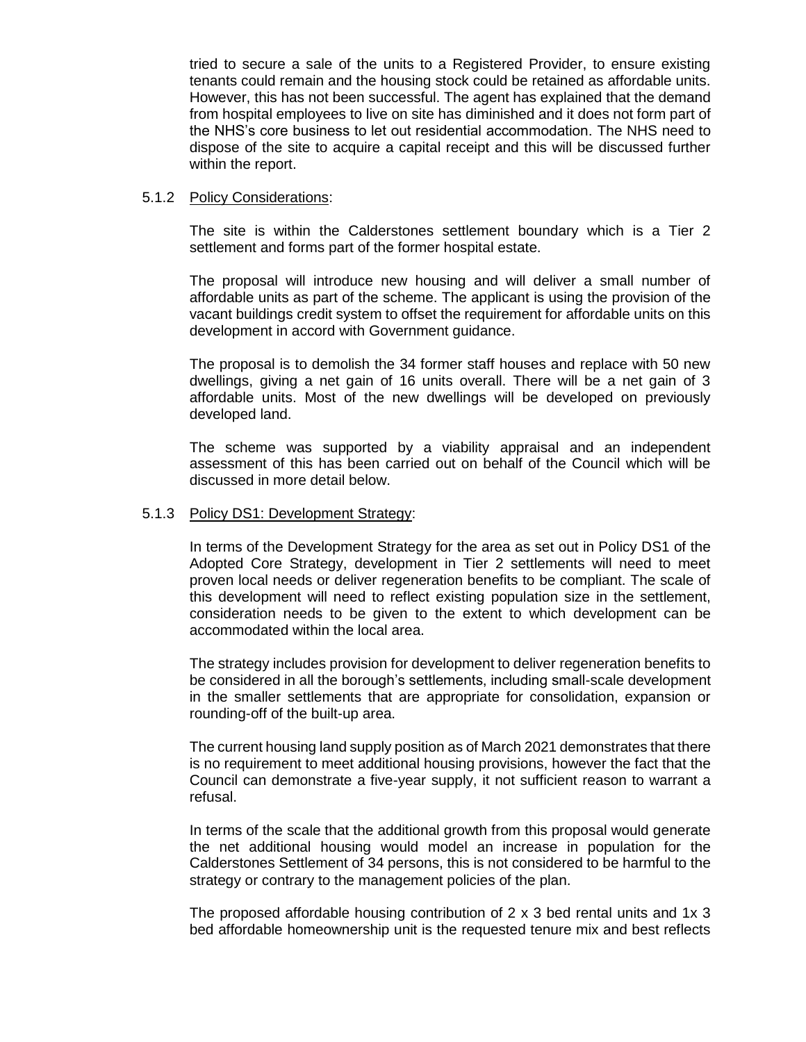tried to secure a sale of the units to a Registered Provider, to ensure existing tenants could remain and the housing stock could be retained as affordable units. However, this has not been successful. The agent has explained that the demand from hospital employees to live on site has diminished and it does not form part of the NHS's core business to let out residential accommodation. The NHS need to dispose of the site to acquire a capital receipt and this will be discussed further within the report.

### 5.1.2 Policy Considerations:

The site is within the Calderstones settlement boundary which is a Tier 2 settlement and forms part of the former hospital estate.

The proposal will introduce new housing and will deliver a small number of affordable units as part of the scheme. The applicant is using the provision of the vacant buildings credit system to offset the requirement for affordable units on this development in accord with Government guidance.

The proposal is to demolish the 34 former staff houses and replace with 50 new dwellings, giving a net gain of 16 units overall. There will be a net gain of 3 affordable units. Most of the new dwellings will be developed on previously developed land.

The scheme was supported by a viability appraisal and an independent assessment of this has been carried out on behalf of the Council which will be discussed in more detail below.

#### 5.1.3 Policy DS1: Development Strategy:

In terms of the Development Strategy for the area as set out in Policy DS1 of the Adopted Core Strategy, development in Tier 2 settlements will need to meet proven local needs or deliver regeneration benefits to be compliant. The scale of this development will need to reflect existing population size in the settlement, consideration needs to be given to the extent to which development can be accommodated within the local area.

The strategy includes provision for development to deliver regeneration benefits to be considered in all the borough's settlements, including small-scale development in the smaller settlements that are appropriate for consolidation, expansion or rounding-off of the built-up area.

The current housing land supply position as of March 2021 demonstrates that there is no requirement to meet additional housing provisions, however the fact that the Council can demonstrate a five-year supply, it not sufficient reason to warrant a refusal.

In terms of the scale that the additional growth from this proposal would generate the net additional housing would model an increase in population for the Calderstones Settlement of 34 persons, this is not considered to be harmful to the strategy or contrary to the management policies of the plan.

The proposed affordable housing contribution of 2 x 3 bed rental units and 1x 3 bed affordable homeownership unit is the requested tenure mix and best reflects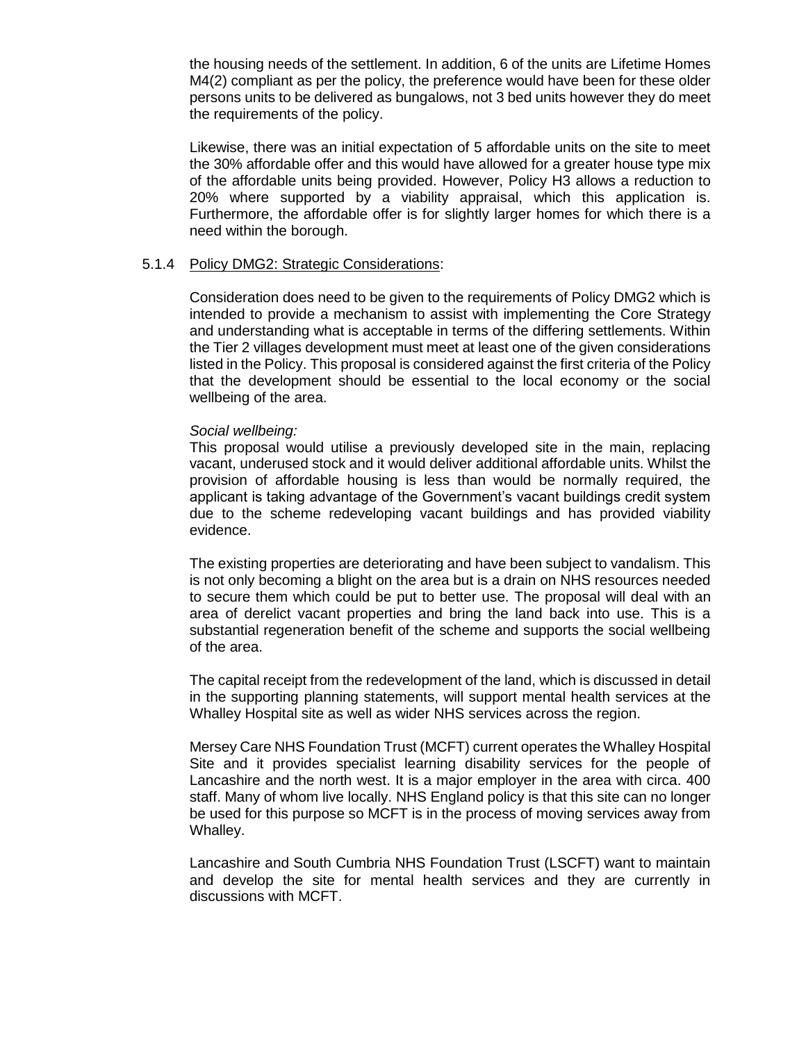the housing needs of the settlement. In addition, 6 of the units are Lifetime Homes M4(2) compliant as per the policy, the preference would have been for these older persons units to be delivered as bungalows, not 3 bed units however they do meet the requirements of the policy.

Likewise, there was an initial expectation of 5 affordable units on the site to meet the 30% affordable offer and this would have allowed for a greater house type mix of the affordable units being provided. However, Policy H3 allows a reduction to 20% where supported by a viability appraisal, which this application is. Furthermore, the affordable offer is for slightly larger homes for which there is a need within the borough.

## 5.1.4 Policy DMG2: Strategic Considerations:

Consideration does need to be given to the requirements of Policy DMG2 which is intended to provide a mechanism to assist with implementing the Core Strategy and understanding what is acceptable in terms of the differing settlements. Within the Tier 2 villages development must meet at least one of the given considerations listed in the Policy. This proposal is considered against the first criteria of the Policy that the development should be essential to the local economy or the social wellbeing of the area.

#### *Social wellbeing:*

This proposal would utilise a previously developed site in the main, replacing vacant, underused stock and it would deliver additional affordable units. Whilst the provision of affordable housing is less than would be normally required, the applicant is taking advantage of the Government's vacant buildings credit system due to the scheme redeveloping vacant buildings and has provided viability evidence.

The existing properties are deteriorating and have been subject to vandalism. This is not only becoming a blight on the area but is a drain on NHS resources needed to secure them which could be put to better use. The proposal will deal with an area of derelict vacant properties and bring the land back into use. This is a substantial regeneration benefit of the scheme and supports the social wellbeing of the area.

The capital receipt from the redevelopment of the land, which is discussed in detail in the supporting planning statements, will support mental health services at the Whalley Hospital site as well as wider NHS services across the region.

Mersey Care NHS Foundation Trust (MCFT) current operates the Whalley Hospital Site and it provides specialist learning disability services for the people of Lancashire and the north west. It is a major employer in the area with circa. 400 staff. Many of whom live locally. NHS England policy is that this site can no longer be used for this purpose so MCFT is in the process of moving services away from Whalley.

Lancashire and South Cumbria NHS Foundation Trust (LSCFT) want to maintain and develop the site for mental health services and they are currently in discussions with MCFT.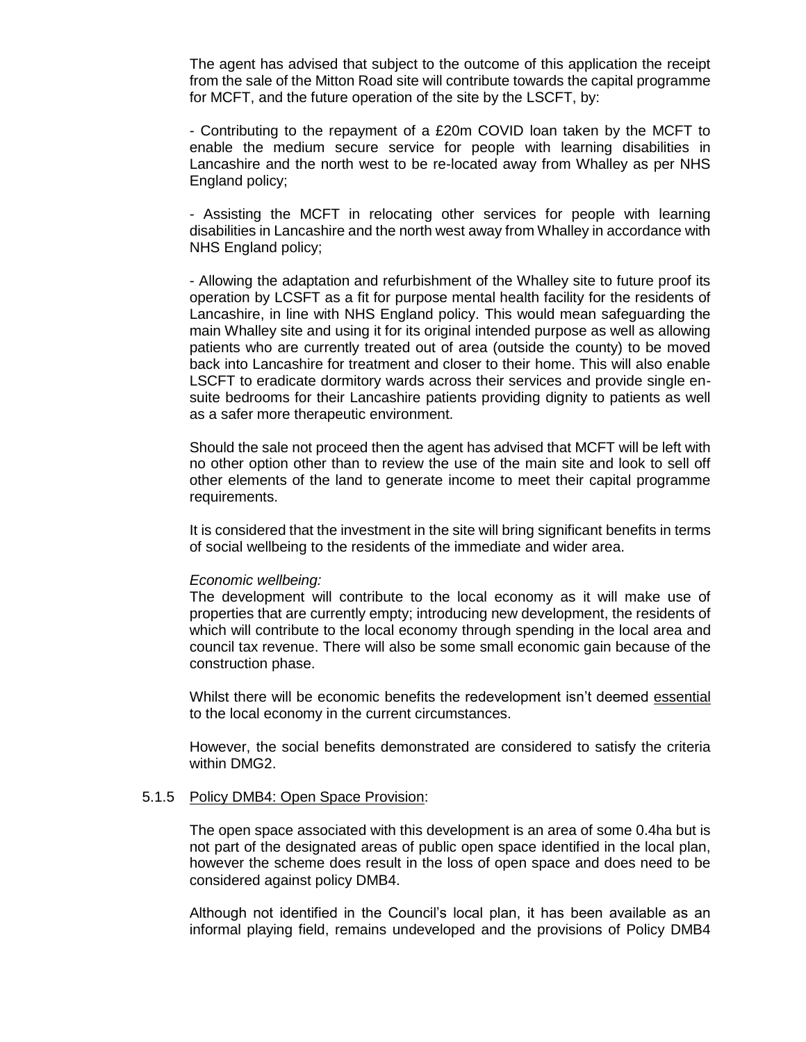The agent has advised that subject to the outcome of this application the receipt from the sale of the Mitton Road site will contribute towards the capital programme for MCFT, and the future operation of the site by the LSCFT, by:

- Contributing to the repayment of a £20m COVID loan taken by the MCFT to enable the medium secure service for people with learning disabilities in Lancashire and the north west to be re-located away from Whalley as per NHS England policy;

- Assisting the MCFT in relocating other services for people with learning disabilities in Lancashire and the north west away from Whalley in accordance with NHS England policy;

- Allowing the adaptation and refurbishment of the Whalley site to future proof its operation by LCSFT as a fit for purpose mental health facility for the residents of Lancashire, in line with NHS England policy. This would mean safeguarding the main Whalley site and using it for its original intended purpose as well as allowing patients who are currently treated out of area (outside the county) to be moved back into Lancashire for treatment and closer to their home. This will also enable LSCFT to eradicate dormitory wards across their services and provide single ensuite bedrooms for their Lancashire patients providing dignity to patients as well as a safer more therapeutic environment.

Should the sale not proceed then the agent has advised that MCFT will be left with no other option other than to review the use of the main site and look to sell off other elements of the land to generate income to meet their capital programme requirements.

It is considered that the investment in the site will bring significant benefits in terms of social wellbeing to the residents of the immediate and wider area.

#### *Economic wellbeing:*

The development will contribute to the local economy as it will make use of properties that are currently empty; introducing new development, the residents of which will contribute to the local economy through spending in the local area and council tax revenue. There will also be some small economic gain because of the construction phase.

Whilst there will be economic benefits the redevelopment isn't deemed essential to the local economy in the current circumstances.

However, the social benefits demonstrated are considered to satisfy the criteria within DMG2.

#### 5.1.5 Policy DMB4: Open Space Provision:

The open space associated with this development is an area of some 0.4ha but is not part of the designated areas of public open space identified in the local plan, however the scheme does result in the loss of open space and does need to be considered against policy DMB4.

Although not identified in the Council's local plan, it has been available as an informal playing field, remains undeveloped and the provisions of Policy DMB4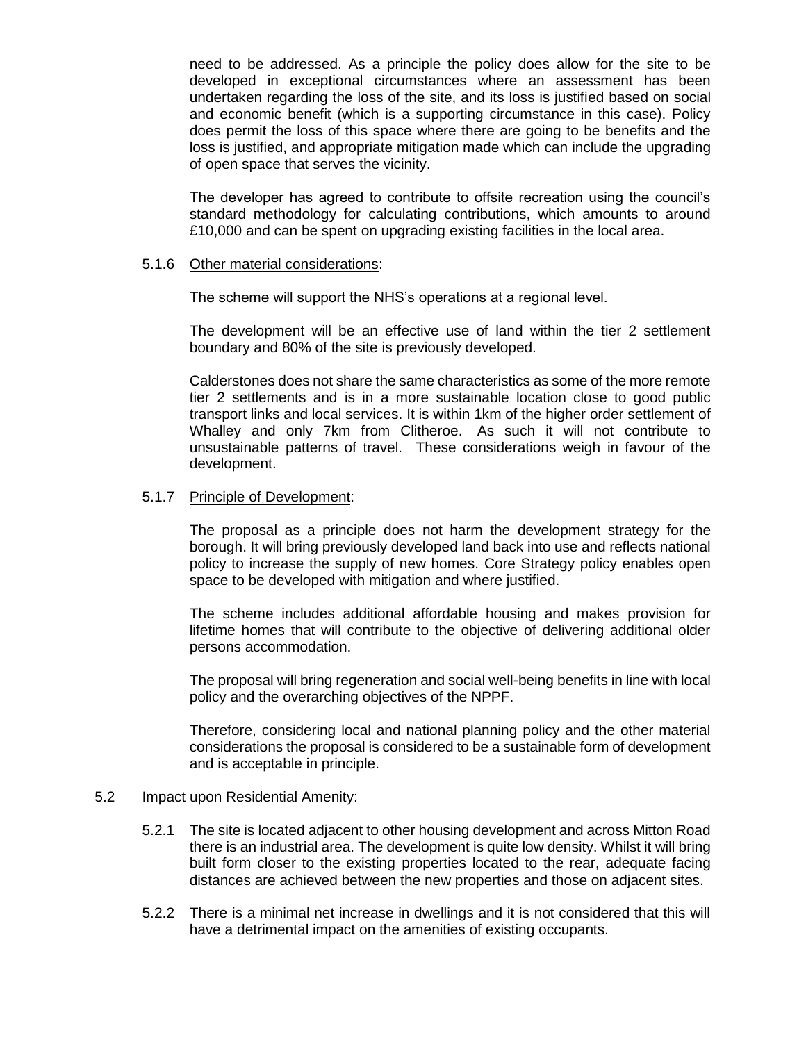need to be addressed. As a principle the policy does allow for the site to be developed in exceptional circumstances where an assessment has been undertaken regarding the loss of the site, and its loss is justified based on social and economic benefit (which is a supporting circumstance in this case). Policy does permit the loss of this space where there are going to be benefits and the loss is justified, and appropriate mitigation made which can include the upgrading of open space that serves the vicinity.

The developer has agreed to contribute to offsite recreation using the council's standard methodology for calculating contributions, which amounts to around £10,000 and can be spent on upgrading existing facilities in the local area.

## 5.1.6 Other material considerations:

The scheme will support the NHS's operations at a regional level.

The development will be an effective use of land within the tier 2 settlement boundary and 80% of the site is previously developed.

Calderstones does not share the same characteristics as some of the more remote tier 2 settlements and is in a more sustainable location close to good public transport links and local services. It is within 1km of the higher order settlement of Whalley and only 7km from Clitheroe. As such it will not contribute to unsustainable patterns of travel. These considerations weigh in favour of the development.

#### 5.1.7 Principle of Development:

The proposal as a principle does not harm the development strategy for the borough. It will bring previously developed land back into use and reflects national policy to increase the supply of new homes. Core Strategy policy enables open space to be developed with mitigation and where justified.

The scheme includes additional affordable housing and makes provision for lifetime homes that will contribute to the objective of delivering additional older persons accommodation.

The proposal will bring regeneration and social well-being benefits in line with local policy and the overarching objectives of the NPPF.

Therefore, considering local and national planning policy and the other material considerations the proposal is considered to be a sustainable form of development and is acceptable in principle.

#### 5.2 Impact upon Residential Amenity:

- 5.2.1 The site is located adjacent to other housing development and across Mitton Road there is an industrial area. The development is quite low density. Whilst it will bring built form closer to the existing properties located to the rear, adequate facing distances are achieved between the new properties and those on adjacent sites.
- 5.2.2 There is a minimal net increase in dwellings and it is not considered that this will have a detrimental impact on the amenities of existing occupants.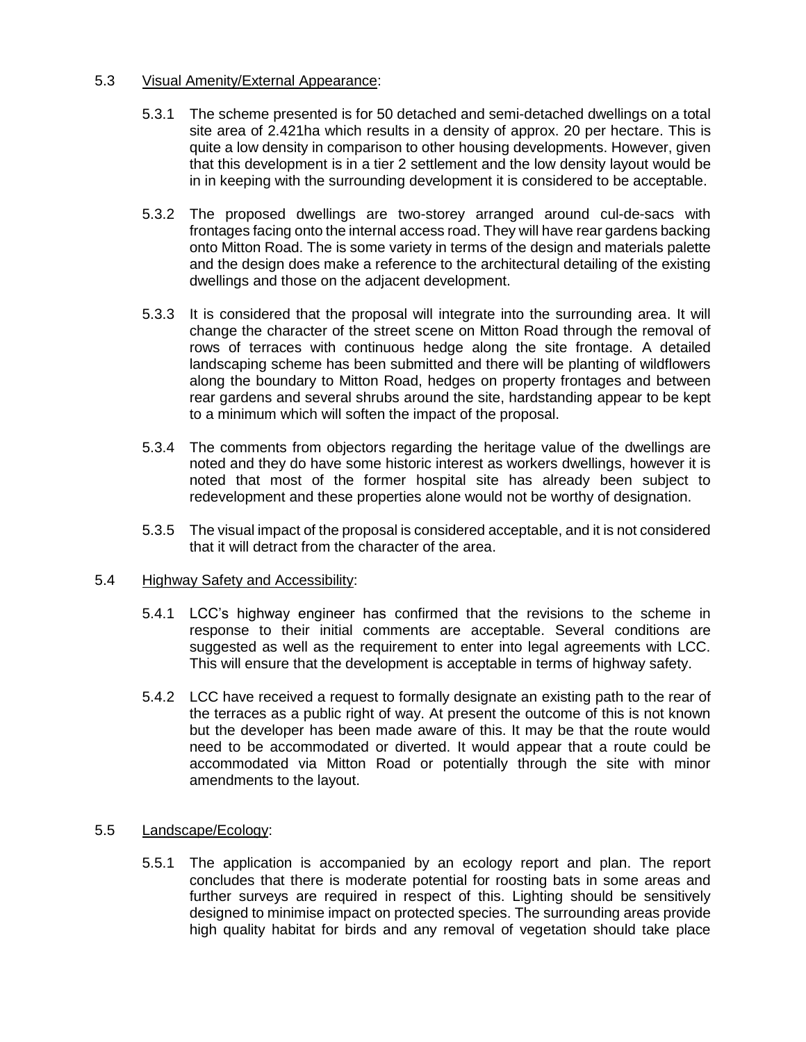## 5.3 Visual Amenity/External Appearance:

- 5.3.1 The scheme presented is for 50 detached and semi-detached dwellings on a total site area of 2.421ha which results in a density of approx. 20 per hectare. This is quite a low density in comparison to other housing developments. However, given that this development is in a tier 2 settlement and the low density layout would be in in keeping with the surrounding development it is considered to be acceptable.
- 5.3.2 The proposed dwellings are two-storey arranged around cul-de-sacs with frontages facing onto the internal access road. They will have rear gardens backing onto Mitton Road. The is some variety in terms of the design and materials palette and the design does make a reference to the architectural detailing of the existing dwellings and those on the adjacent development.
- 5.3.3 It is considered that the proposal will integrate into the surrounding area. It will change the character of the street scene on Mitton Road through the removal of rows of terraces with continuous hedge along the site frontage. A detailed landscaping scheme has been submitted and there will be planting of wildflowers along the boundary to Mitton Road, hedges on property frontages and between rear gardens and several shrubs around the site, hardstanding appear to be kept to a minimum which will soften the impact of the proposal.
- 5.3.4 The comments from objectors regarding the heritage value of the dwellings are noted and they do have some historic interest as workers dwellings, however it is noted that most of the former hospital site has already been subject to redevelopment and these properties alone would not be worthy of designation.
- 5.3.5 The visual impact of the proposal is considered acceptable, and it is not considered that it will detract from the character of the area.

## 5.4 Highway Safety and Accessibility:

- 5.4.1 LCC's highway engineer has confirmed that the revisions to the scheme in response to their initial comments are acceptable. Several conditions are suggested as well as the requirement to enter into legal agreements with LCC. This will ensure that the development is acceptable in terms of highway safety.
- 5.4.2 LCC have received a request to formally designate an existing path to the rear of the terraces as a public right of way. At present the outcome of this is not known but the developer has been made aware of this. It may be that the route would need to be accommodated or diverted. It would appear that a route could be accommodated via Mitton Road or potentially through the site with minor amendments to the layout.

# 5.5 Landscape/Ecology:

5.5.1 The application is accompanied by an ecology report and plan. The report concludes that there is moderate potential for roosting bats in some areas and further surveys are required in respect of this. Lighting should be sensitively designed to minimise impact on protected species. The surrounding areas provide high quality habitat for birds and any removal of vegetation should take place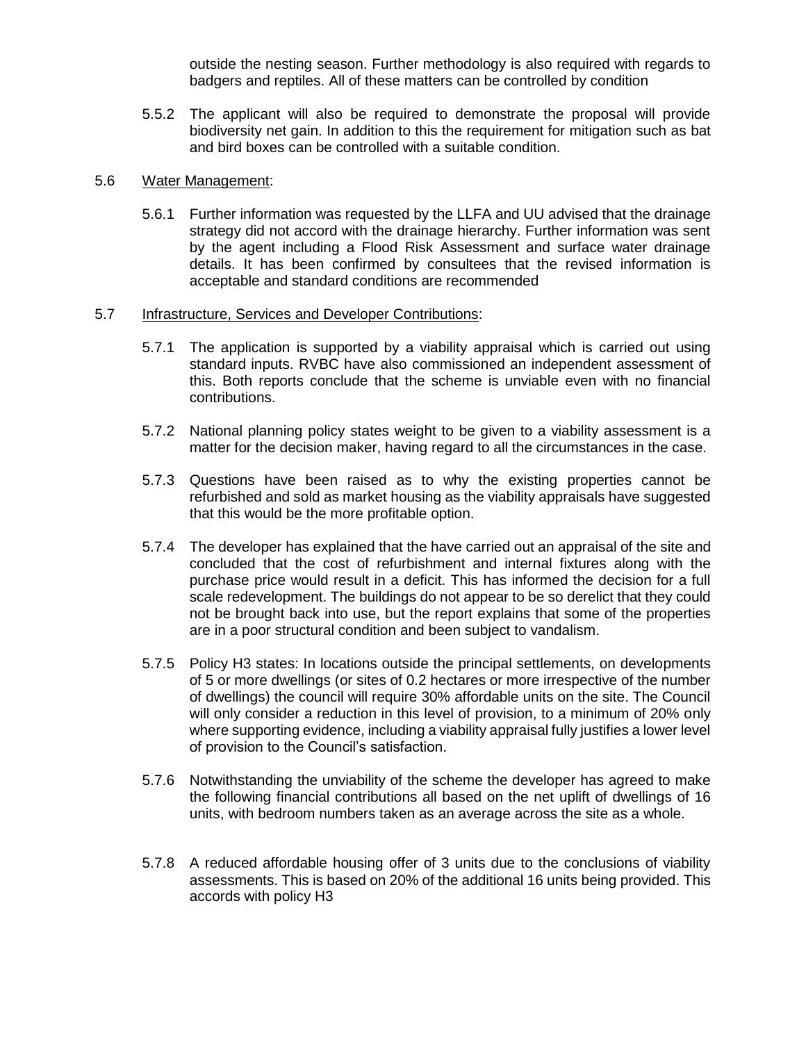outside the nesting season. Further methodology is also required with regards to badgers and reptiles. All of these matters can be controlled by condition

5.5.2 The applicant will also be required to demonstrate the proposal will provide biodiversity net gain. In addition to this the requirement for mitigation such as bat and bird boxes can be controlled with a suitable condition.

## 5.6 Water Management:

5.6.1 Further information was requested by the LLFA and UU advised that the drainage strategy did not accord with the drainage hierarchy. Further information was sent by the agent including a Flood Risk Assessment and surface water drainage details. It has been confirmed by consultees that the revised information is acceptable and standard conditions are recommended

#### 5.7 Infrastructure, Services and Developer Contributions:

- 5.7.1 The application is supported by a viability appraisal which is carried out using standard inputs. RVBC have also commissioned an independent assessment of this. Both reports conclude that the scheme is unviable even with no financial contributions.
- 5.7.2 National planning policy states weight to be given to a viability assessment is a matter for the decision maker, having regard to all the circumstances in the case.
- 5.7.3 Questions have been raised as to why the existing properties cannot be refurbished and sold as market housing as the viability appraisals have suggested that this would be the more profitable option.
- 5.7.4 The developer has explained that the have carried out an appraisal of the site and concluded that the cost of refurbishment and internal fixtures along with the purchase price would result in a deficit. This has informed the decision for a full scale redevelopment. The buildings do not appear to be so derelict that they could not be brought back into use, but the report explains that some of the properties are in a poor structural condition and been subject to vandalism.
- 5.7.5 Policy H3 states: In locations outside the principal settlements, on developments of 5 or more dwellings (or sites of 0.2 hectares or more irrespective of the number of dwellings) the council will require 30% affordable units on the site. The Council will only consider a reduction in this level of provision, to a minimum of 20% only where supporting evidence, including a viability appraisal fully justifies a lower level of provision to the Council's satisfaction.
- 5.7.6 Notwithstanding the unviability of the scheme the developer has agreed to make the following financial contributions all based on the net uplift of dwellings of 16 units, with bedroom numbers taken as an average across the site as a whole.
- 5.7.8 A reduced affordable housing offer of 3 units due to the conclusions of viability assessments. This is based on 20% of the additional 16 units being provided. This accords with policy H3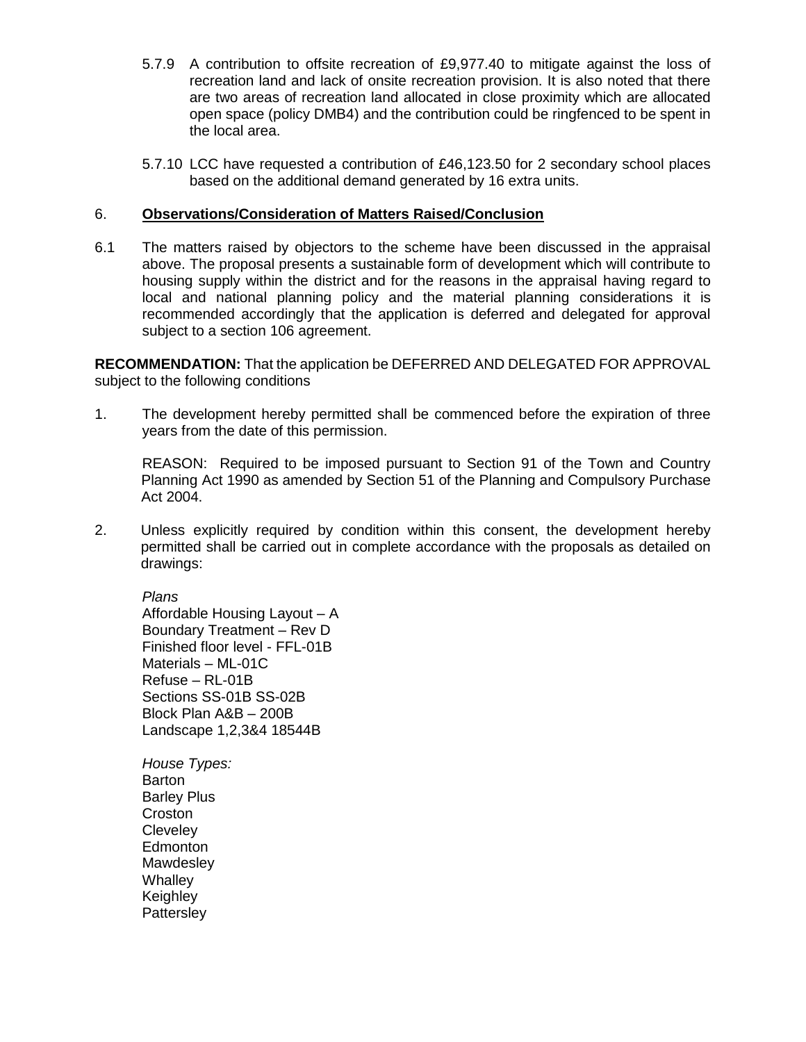- 5.7.9 A contribution to offsite recreation of £9,977.40 to mitigate against the loss of recreation land and lack of onsite recreation provision. It is also noted that there are two areas of recreation land allocated in close proximity which are allocated open space (policy DMB4) and the contribution could be ringfenced to be spent in the local area.
- 5.7.10 LCC have requested a contribution of £46,123.50 for 2 secondary school places based on the additional demand generated by 16 extra units.

## 6. **Observations/Consideration of Matters Raised/Conclusion**

6.1 The matters raised by objectors to the scheme have been discussed in the appraisal above. The proposal presents a sustainable form of development which will contribute to housing supply within the district and for the reasons in the appraisal having regard to local and national planning policy and the material planning considerations it is recommended accordingly that the application is deferred and delegated for approval subject to a section 106 agreement.

**RECOMMENDATION:** That the application be DEFERRED AND DELEGATED FOR APPROVAL subject to the following conditions

1. The development hereby permitted shall be commenced before the expiration of three years from the date of this permission.

REASON: Required to be imposed pursuant to Section 91 of the Town and Country Planning Act 1990 as amended by Section 51 of the Planning and Compulsory Purchase Act 2004.

2. Unless explicitly required by condition within this consent, the development hereby permitted shall be carried out in complete accordance with the proposals as detailed on drawings:

*Plans* Affordable Housing Layout – A Boundary Treatment – Rev D Finished floor level - FFL-01B Materials – ML-01C Refuse – RL-01B Sections SS-01B SS-02B Block Plan A&B – 200B Landscape 1,2,3&4 18544B

*House Types:* Barton Barley Plus Croston **Cleveley Edmonton Mawdesley Whalley Keighley Pattersley**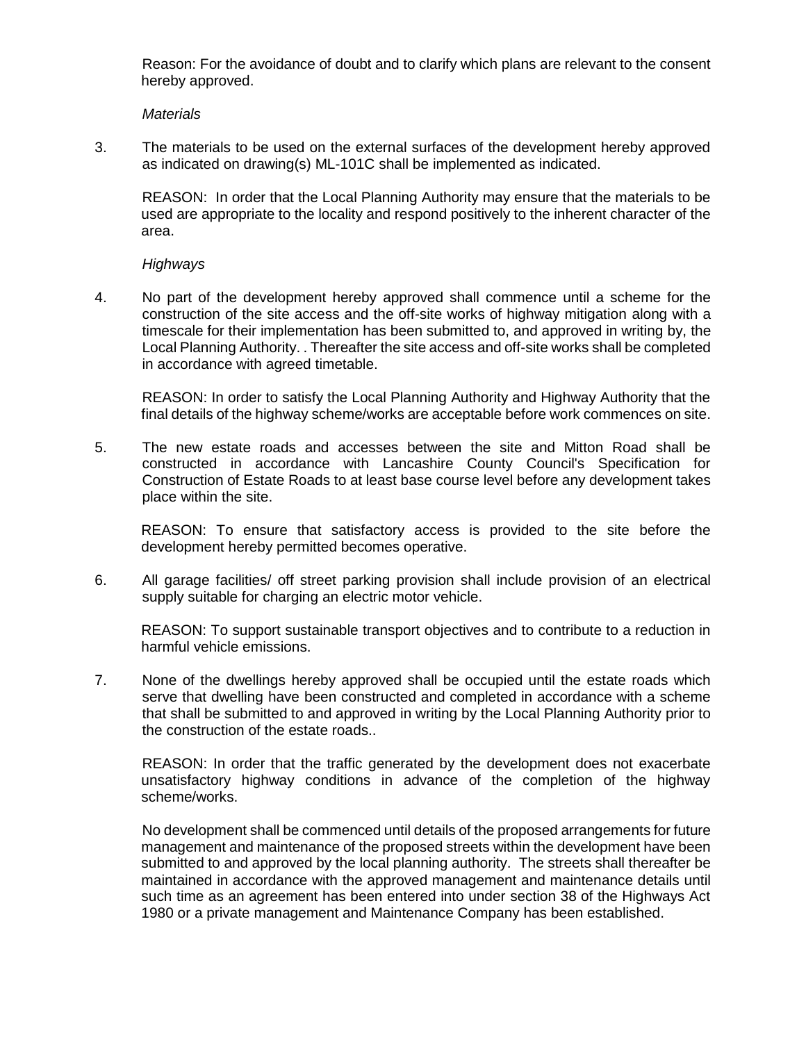Reason: For the avoidance of doubt and to clarify which plans are relevant to the consent hereby approved.

*Materials*

3. The materials to be used on the external surfaces of the development hereby approved as indicated on drawing(s) ML-101C shall be implemented as indicated.

REASON: In order that the Local Planning Authority may ensure that the materials to be used are appropriate to the locality and respond positively to the inherent character of the area.

## *Highways*

4. No part of the development hereby approved shall commence until a scheme for the construction of the site access and the off-site works of highway mitigation along with a timescale for their implementation has been submitted to, and approved in writing by, the Local Planning Authority. . Thereafter the site access and off-site works shall be completed in accordance with agreed timetable.

REASON: In order to satisfy the Local Planning Authority and Highway Authority that the final details of the highway scheme/works are acceptable before work commences on site.

5. The new estate roads and accesses between the site and Mitton Road shall be constructed in accordance with Lancashire County Council's Specification for Construction of Estate Roads to at least base course level before any development takes place within the site.

REASON: To ensure that satisfactory access is provided to the site before the development hereby permitted becomes operative.

6. All garage facilities/ off street parking provision shall include provision of an electrical supply suitable for charging an electric motor vehicle.

REASON: To support sustainable transport objectives and to contribute to a reduction in harmful vehicle emissions.

7. None of the dwellings hereby approved shall be occupied until the estate roads which serve that dwelling have been constructed and completed in accordance with a scheme that shall be submitted to and approved in writing by the Local Planning Authority prior to the construction of the estate roads..

REASON: In order that the traffic generated by the development does not exacerbate unsatisfactory highway conditions in advance of the completion of the highway scheme/works.

No development shall be commenced until details of the proposed arrangements for future management and maintenance of the proposed streets within the development have been submitted to and approved by the local planning authority. The streets shall thereafter be maintained in accordance with the approved management and maintenance details until such time as an agreement has been entered into under section 38 of the Highways Act 1980 or a private management and Maintenance Company has been established.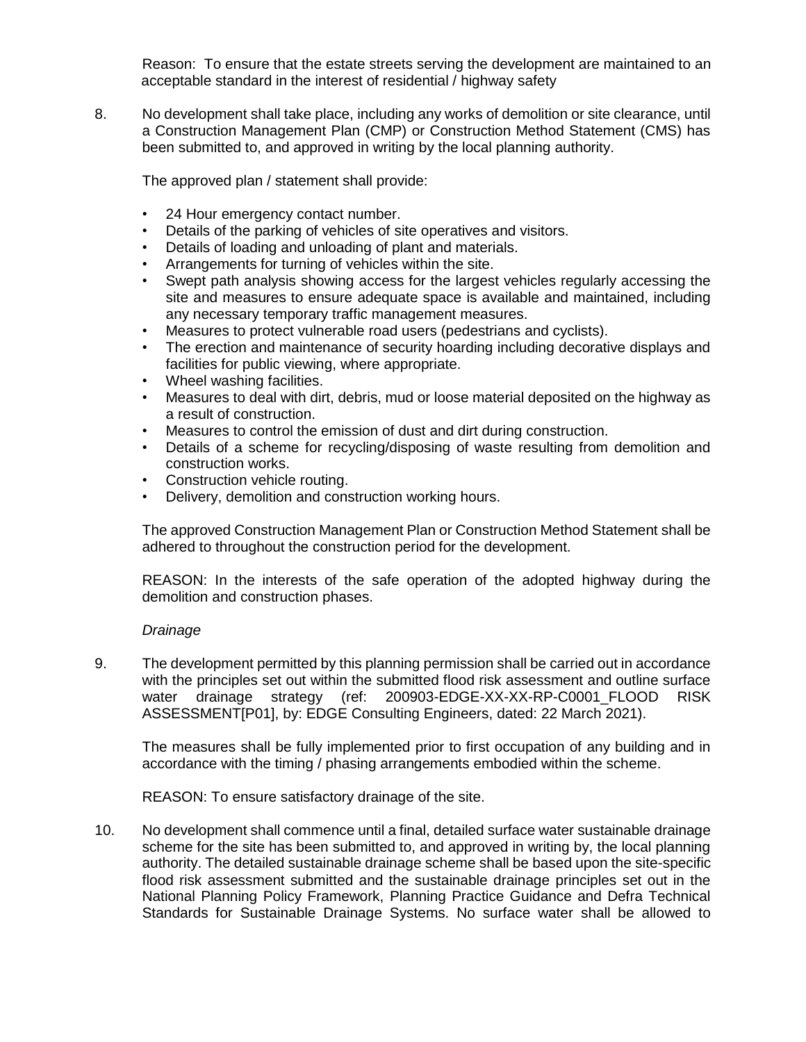Reason: To ensure that the estate streets serving the development are maintained to an acceptable standard in the interest of residential / highway safety

8. No development shall take place, including any works of demolition or site clearance, until a Construction Management Plan (CMP) or Construction Method Statement (CMS) has been submitted to, and approved in writing by the local planning authority.

The approved plan / statement shall provide:

- 24 Hour emergency contact number.
- Details of the parking of vehicles of site operatives and visitors.
- Details of loading and unloading of plant and materials.
- Arrangements for turning of vehicles within the site.
- Swept path analysis showing access for the largest vehicles regularly accessing the site and measures to ensure adequate space is available and maintained, including any necessary temporary traffic management measures.
- Measures to protect vulnerable road users (pedestrians and cyclists).
- The erection and maintenance of security hoarding including decorative displays and facilities for public viewing, where appropriate.
- Wheel washing facilities.
- Measures to deal with dirt, debris, mud or loose material deposited on the highway as a result of construction.
- Measures to control the emission of dust and dirt during construction.
- Details of a scheme for recycling/disposing of waste resulting from demolition and construction works.
- Construction vehicle routing.
- Delivery, demolition and construction working hours.

The approved Construction Management Plan or Construction Method Statement shall be adhered to throughout the construction period for the development.

REASON: In the interests of the safe operation of the adopted highway during the demolition and construction phases.

## *Drainage*

9. The development permitted by this planning permission shall be carried out in accordance with the principles set out within the submitted flood risk assessment and outline surface water drainage strategy (ref: 200903-EDGE-XX-XX-RP-C0001\_FLOOD RISK ASSESSMENT[P01], by: EDGE Consulting Engineers, dated: 22 March 2021).

The measures shall be fully implemented prior to first occupation of any building and in accordance with the timing / phasing arrangements embodied within the scheme.

REASON: To ensure satisfactory drainage of the site.

10. No development shall commence until a final, detailed surface water sustainable drainage scheme for the site has been submitted to, and approved in writing by, the local planning authority. The detailed sustainable drainage scheme shall be based upon the site-specific flood risk assessment submitted and the sustainable drainage principles set out in the National Planning Policy Framework, Planning Practice Guidance and Defra Technical Standards for Sustainable Drainage Systems. No surface water shall be allowed to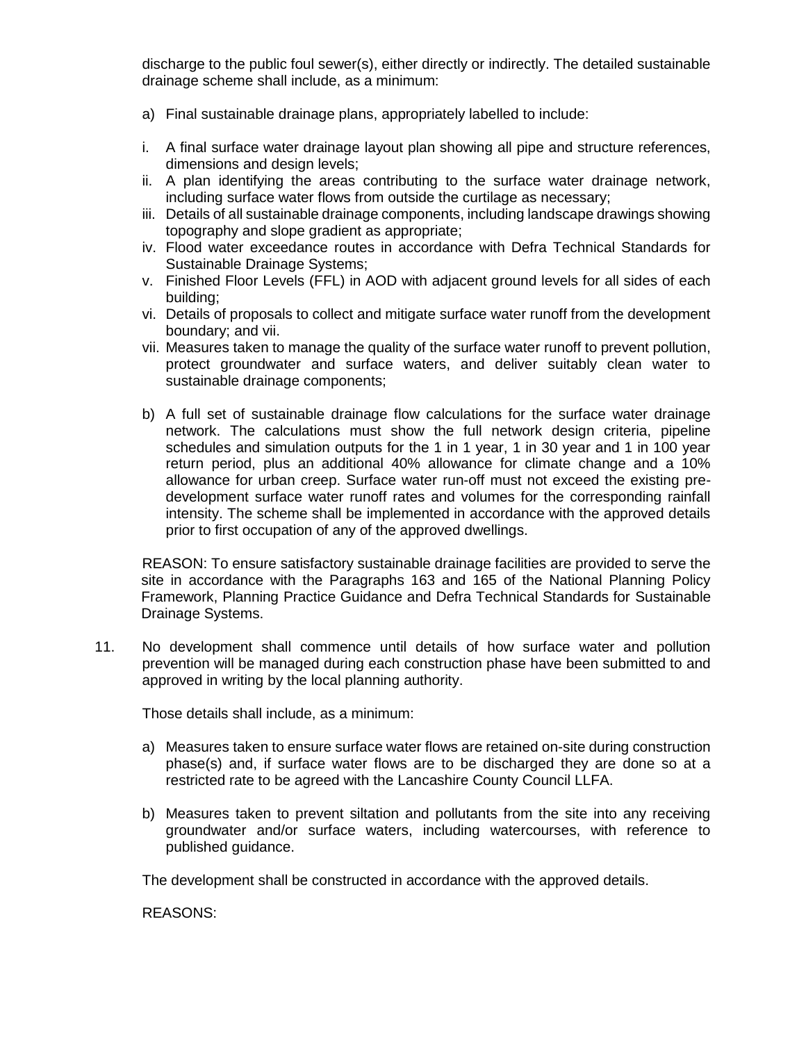discharge to the public foul sewer(s), either directly or indirectly. The detailed sustainable drainage scheme shall include, as a minimum:

- a) Final sustainable drainage plans, appropriately labelled to include:
- i. A final surface water drainage layout plan showing all pipe and structure references, dimensions and design levels;
- ii. A plan identifying the areas contributing to the surface water drainage network, including surface water flows from outside the curtilage as necessary;
- iii. Details of all sustainable drainage components, including landscape drawings showing topography and slope gradient as appropriate;
- iv. Flood water exceedance routes in accordance with Defra Technical Standards for Sustainable Drainage Systems;
- v. Finished Floor Levels (FFL) in AOD with adjacent ground levels for all sides of each building;
- vi. Details of proposals to collect and mitigate surface water runoff from the development boundary; and vii.
- vii. Measures taken to manage the quality of the surface water runoff to prevent pollution, protect groundwater and surface waters, and deliver suitably clean water to sustainable drainage components;
- b) A full set of sustainable drainage flow calculations for the surface water drainage network. The calculations must show the full network design criteria, pipeline schedules and simulation outputs for the 1 in 1 year, 1 in 30 year and 1 in 100 year return period, plus an additional 40% allowance for climate change and a 10% allowance for urban creep. Surface water run-off must not exceed the existing predevelopment surface water runoff rates and volumes for the corresponding rainfall intensity. The scheme shall be implemented in accordance with the approved details prior to first occupation of any of the approved dwellings.

REASON: To ensure satisfactory sustainable drainage facilities are provided to serve the site in accordance with the Paragraphs 163 and 165 of the National Planning Policy Framework, Planning Practice Guidance and Defra Technical Standards for Sustainable Drainage Systems.

11. No development shall commence until details of how surface water and pollution prevention will be managed during each construction phase have been submitted to and approved in writing by the local planning authority.

Those details shall include, as a minimum:

- a) Measures taken to ensure surface water flows are retained on-site during construction phase(s) and, if surface water flows are to be discharged they are done so at a restricted rate to be agreed with the Lancashire County Council LLFA.
- b) Measures taken to prevent siltation and pollutants from the site into any receiving groundwater and/or surface waters, including watercourses, with reference to published guidance.

The development shall be constructed in accordance with the approved details.

REASONS: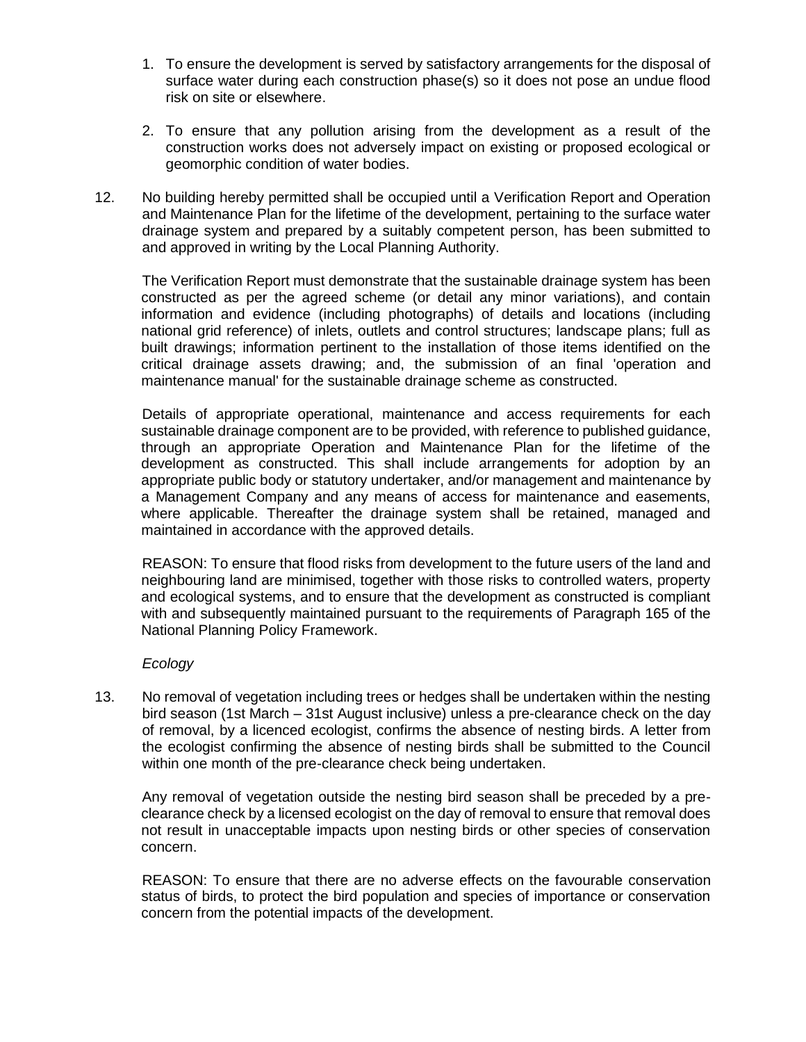- 1. To ensure the development is served by satisfactory arrangements for the disposal of surface water during each construction phase(s) so it does not pose an undue flood risk on site or elsewhere.
- 2. To ensure that any pollution arising from the development as a result of the construction works does not adversely impact on existing or proposed ecological or geomorphic condition of water bodies.
- 12. No building hereby permitted shall be occupied until a Verification Report and Operation and Maintenance Plan for the lifetime of the development, pertaining to the surface water drainage system and prepared by a suitably competent person, has been submitted to and approved in writing by the Local Planning Authority.

The Verification Report must demonstrate that the sustainable drainage system has been constructed as per the agreed scheme (or detail any minor variations), and contain information and evidence (including photographs) of details and locations (including national grid reference) of inlets, outlets and control structures; landscape plans; full as built drawings; information pertinent to the installation of those items identified on the critical drainage assets drawing; and, the submission of an final 'operation and maintenance manual' for the sustainable drainage scheme as constructed.

Details of appropriate operational, maintenance and access requirements for each sustainable drainage component are to be provided, with reference to published guidance, through an appropriate Operation and Maintenance Plan for the lifetime of the development as constructed. This shall include arrangements for adoption by an appropriate public body or statutory undertaker, and/or management and maintenance by a Management Company and any means of access for maintenance and easements, where applicable. Thereafter the drainage system shall be retained, managed and maintained in accordance with the approved details.

REASON: To ensure that flood risks from development to the future users of the land and neighbouring land are minimised, together with those risks to controlled waters, property and ecological systems, and to ensure that the development as constructed is compliant with and subsequently maintained pursuant to the requirements of Paragraph 165 of the National Planning Policy Framework.

# *Ecology*

13. No removal of vegetation including trees or hedges shall be undertaken within the nesting bird season (1st March – 31st August inclusive) unless a pre-clearance check on the day of removal, by a licenced ecologist, confirms the absence of nesting birds. A letter from the ecologist confirming the absence of nesting birds shall be submitted to the Council within one month of the pre-clearance check being undertaken.

Any removal of vegetation outside the nesting bird season shall be preceded by a preclearance check by a licensed ecologist on the day of removal to ensure that removal does not result in unacceptable impacts upon nesting birds or other species of conservation concern.

REASON: To ensure that there are no adverse effects on the favourable conservation status of birds, to protect the bird population and species of importance or conservation concern from the potential impacts of the development.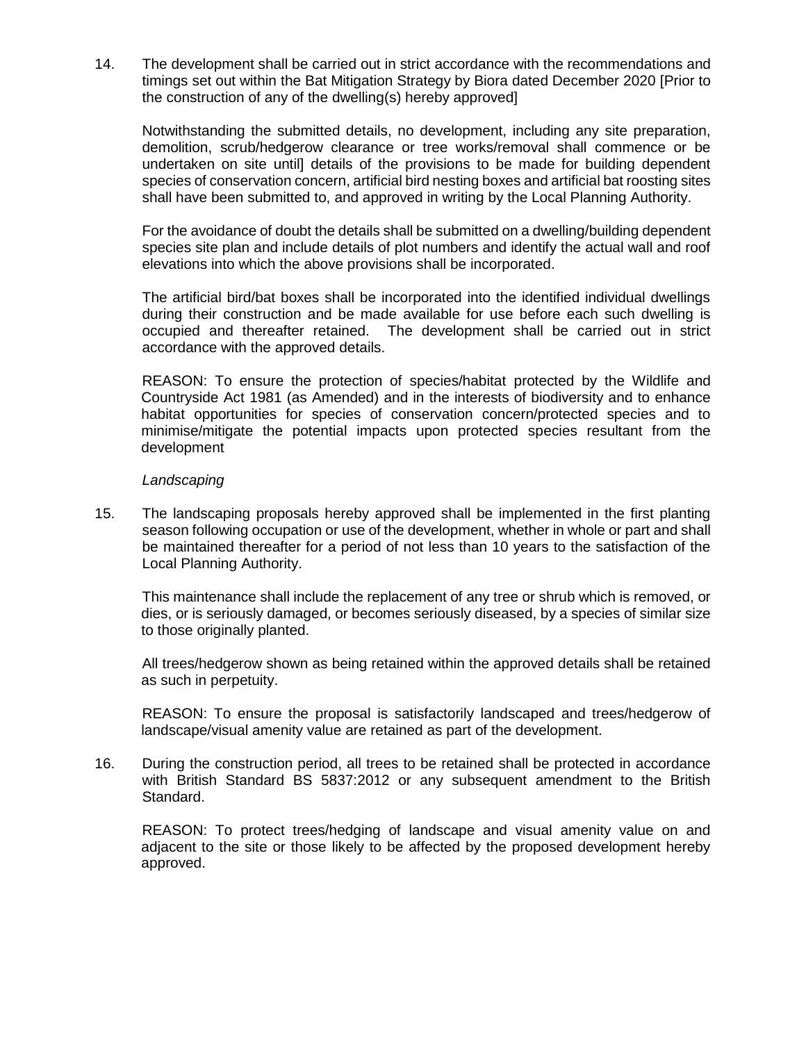14. The development shall be carried out in strict accordance with the recommendations and timings set out within the Bat Mitigation Strategy by Biora dated December 2020 [Prior to the construction of any of the dwelling(s) hereby approved]

Notwithstanding the submitted details, no development, including any site preparation, demolition, scrub/hedgerow clearance or tree works/removal shall commence or be undertaken on site until] details of the provisions to be made for building dependent species of conservation concern, artificial bird nesting boxes and artificial bat roosting sites shall have been submitted to, and approved in writing by the Local Planning Authority.

For the avoidance of doubt the details shall be submitted on a dwelling/building dependent species site plan and include details of plot numbers and identify the actual wall and roof elevations into which the above provisions shall be incorporated.

The artificial bird/bat boxes shall be incorporated into the identified individual dwellings during their construction and be made available for use before each such dwelling is occupied and thereafter retained. The development shall be carried out in strict accordance with the approved details.

REASON: To ensure the protection of species/habitat protected by the Wildlife and Countryside Act 1981 (as Amended) and in the interests of biodiversity and to enhance habitat opportunities for species of conservation concern/protected species and to minimise/mitigate the potential impacts upon protected species resultant from the development

## *Landscaping*

15. The landscaping proposals hereby approved shall be implemented in the first planting season following occupation or use of the development, whether in whole or part and shall be maintained thereafter for a period of not less than 10 years to the satisfaction of the Local Planning Authority.

This maintenance shall include the replacement of any tree or shrub which is removed, or dies, or is seriously damaged, or becomes seriously diseased, by a species of similar size to those originally planted.

All trees/hedgerow shown as being retained within the approved details shall be retained as such in perpetuity.

REASON: To ensure the proposal is satisfactorily landscaped and trees/hedgerow of landscape/visual amenity value are retained as part of the development.

16. During the construction period, all trees to be retained shall be protected in accordance with British Standard BS 5837:2012 or any subsequent amendment to the British Standard.

REASON: To protect trees/hedging of landscape and visual amenity value on and adjacent to the site or those likely to be affected by the proposed development hereby approved.